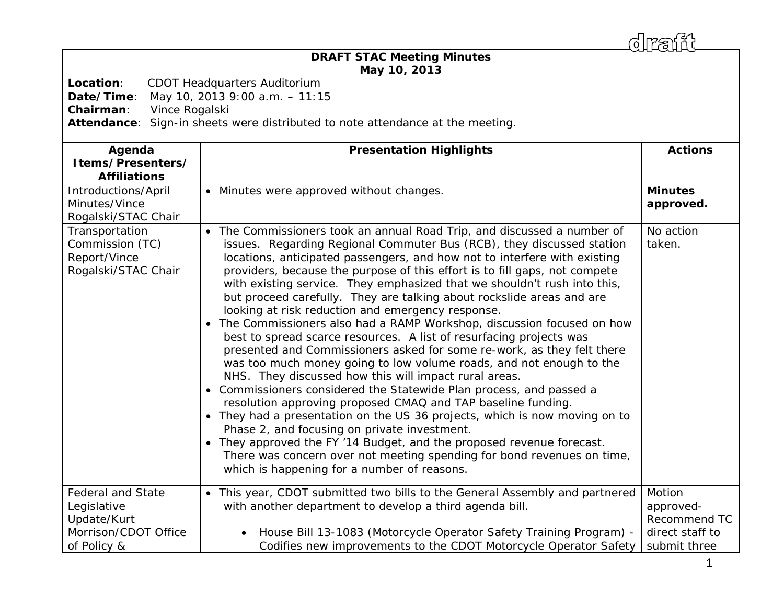draff

## *DRAFT* **STAC Meeting Minutes May 10, 2013**

**Location**: CDOT Headquarters Auditorium

**Date/Time**: May 10, 2013 9:00 a.m. – 11:15

**Chairman**: Vince Rogalski

**Attendance**: Sign-in sheets were distributed to note attendance at the meeting.

| Agenda<br>Items/Presenters/<br><b>Affiliations</b>                                            | <b>Presentation Highlights</b>                                                                                                                                                                                                                                                                                                                                                                                                                                                                                                                                                                                                                                                                                                                                                                                                                                                                                                                                                                                                                                                                                                                                                                                                                                                                                                                     | <b>Actions</b>                                                         |
|-----------------------------------------------------------------------------------------------|----------------------------------------------------------------------------------------------------------------------------------------------------------------------------------------------------------------------------------------------------------------------------------------------------------------------------------------------------------------------------------------------------------------------------------------------------------------------------------------------------------------------------------------------------------------------------------------------------------------------------------------------------------------------------------------------------------------------------------------------------------------------------------------------------------------------------------------------------------------------------------------------------------------------------------------------------------------------------------------------------------------------------------------------------------------------------------------------------------------------------------------------------------------------------------------------------------------------------------------------------------------------------------------------------------------------------------------------------|------------------------------------------------------------------------|
| Introductions/April<br>Minutes/Vince<br>Rogalski/STAC Chair                                   | • Minutes were approved without changes.                                                                                                                                                                                                                                                                                                                                                                                                                                                                                                                                                                                                                                                                                                                                                                                                                                                                                                                                                                                                                                                                                                                                                                                                                                                                                                           | <b>Minutes</b><br>approved.                                            |
| Transportation<br>Commission (TC)<br>Report/Vince<br>Rogalski/STAC Chair                      | The Commissioners took an annual Road Trip, and discussed a number of<br>issues. Regarding Regional Commuter Bus (RCB), they discussed station<br>locations, anticipated passengers, and how not to interfere with existing<br>providers, because the purpose of this effort is to fill gaps, not compete<br>with existing service. They emphasized that we shouldn't rush into this,<br>but proceed carefully. They are talking about rockslide areas and are<br>looking at risk reduction and emergency response.<br>The Commissioners also had a RAMP Workshop, discussion focused on how<br>best to spread scarce resources. A list of resurfacing projects was<br>presented and Commissioners asked for some re-work, as they felt there<br>was too much money going to low volume roads, and not enough to the<br>NHS. They discussed how this will impact rural areas.<br>• Commissioners considered the Statewide Plan process, and passed a<br>resolution approving proposed CMAQ and TAP baseline funding.<br>They had a presentation on the US 36 projects, which is now moving on to<br>Phase 2, and focusing on private investment.<br>• They approved the FY '14 Budget, and the proposed revenue forecast.<br>There was concern over not meeting spending for bond revenues on time,<br>which is happening for a number of reasons. | No action<br>taken.                                                    |
| <b>Federal and State</b><br>Legislative<br>Update/Kurt<br>Morrison/CDOT Office<br>of Policy & | This year, CDOT submitted two bills to the General Assembly and partnered<br>$\bullet$<br>with another department to develop a third agenda bill.<br>House Bill 13-1083 (Motorcycle Operator Safety Training Program) -<br>Codifies new improvements to the CDOT Motorcycle Operator Safety                                                                                                                                                                                                                                                                                                                                                                                                                                                                                                                                                                                                                                                                                                                                                                                                                                                                                                                                                                                                                                                        | Motion<br>approved-<br>Recommend TC<br>direct staff to<br>submit three |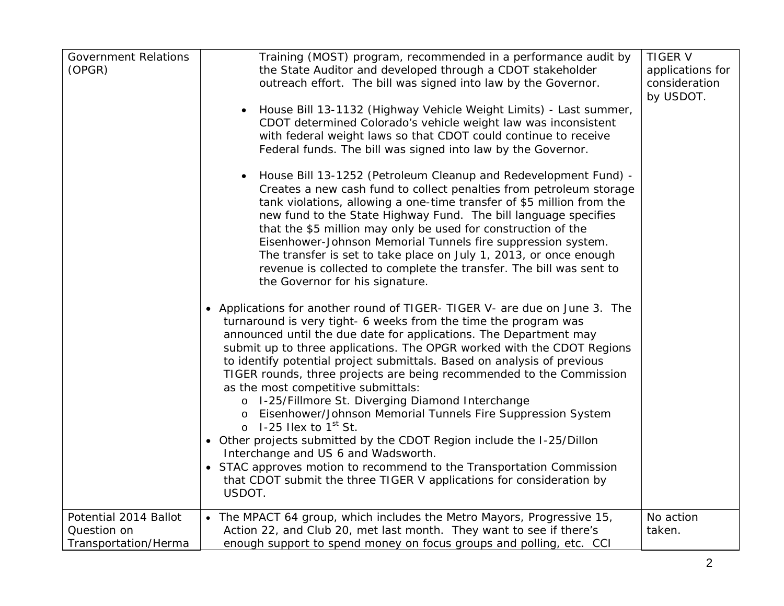| <b>Government Relations</b><br>(OPGR)                        | Training (MOST) program, recommended in a performance audit by<br>the State Auditor and developed through a CDOT stakeholder<br>outreach effort. The bill was signed into law by the Governor.<br>House Bill 13-1132 (Highway Vehicle Weight Limits) - Last summer,<br>CDOT determined Colorado's vehicle weight law was inconsistent<br>with federal weight laws so that CDOT could continue to receive<br>Federal funds. The bill was signed into law by the Governor.<br>House Bill 13-1252 (Petroleum Cleanup and Redevelopment Fund) -<br>Creates a new cash fund to collect penalties from petroleum storage<br>tank violations, allowing a one-time transfer of \$5 million from the<br>new fund to the State Highway Fund. The bill language specifies<br>that the \$5 million may only be used for construction of the<br>Eisenhower-Johnson Memorial Tunnels fire suppression system.<br>The transfer is set to take place on July 1, 2013, or once enough<br>revenue is collected to complete the transfer. The bill was sent to<br>the Governor for his signature.<br>• Applications for another round of TIGER- TIGER V- are due on June 3. The<br>turnaround is very tight- 6 weeks from the time the program was<br>announced until the due date for applications. The Department may<br>submit up to three applications. The OPGR worked with the CDOT Regions<br>to identify potential project submittals. Based on analysis of previous<br>TIGER rounds, three projects are being recommended to the Commission<br>as the most competitive submittals:<br>o I-25/Fillmore St. Diverging Diamond Interchange<br>Eisenhower/Johnson Memorial Tunnels Fire Suppression System<br>$\circ$ 1-25 Hex to 1 <sup>st</sup> St.<br>• Other projects submitted by the CDOT Region include the I-25/Dillon<br>Interchange and US 6 and Wadsworth.<br>• STAC approves motion to recommend to the Transportation Commission<br>that CDOT submit the three TIGER V applications for consideration by<br>USDOT. | <b>TIGER V</b><br>applications for<br>consideration<br>by USDOT. |
|--------------------------------------------------------------|-------------------------------------------------------------------------------------------------------------------------------------------------------------------------------------------------------------------------------------------------------------------------------------------------------------------------------------------------------------------------------------------------------------------------------------------------------------------------------------------------------------------------------------------------------------------------------------------------------------------------------------------------------------------------------------------------------------------------------------------------------------------------------------------------------------------------------------------------------------------------------------------------------------------------------------------------------------------------------------------------------------------------------------------------------------------------------------------------------------------------------------------------------------------------------------------------------------------------------------------------------------------------------------------------------------------------------------------------------------------------------------------------------------------------------------------------------------------------------------------------------------------------------------------------------------------------------------------------------------------------------------------------------------------------------------------------------------------------------------------------------------------------------------------------------------------------------------------------------------------------------------------------------------------------------------------------------------------------------------------------------------------|------------------------------------------------------------------|
| Potential 2014 Ballot<br>Question on<br>Transportation/Herma | • The MPACT 64 group, which includes the Metro Mayors, Progressive 15,<br>Action 22, and Club 20, met last month. They want to see if there's<br>enough support to spend money on focus groups and polling, etc. CCI                                                                                                                                                                                                                                                                                                                                                                                                                                                                                                                                                                                                                                                                                                                                                                                                                                                                                                                                                                                                                                                                                                                                                                                                                                                                                                                                                                                                                                                                                                                                                                                                                                                                                                                                                                                              | No action<br>taken.                                              |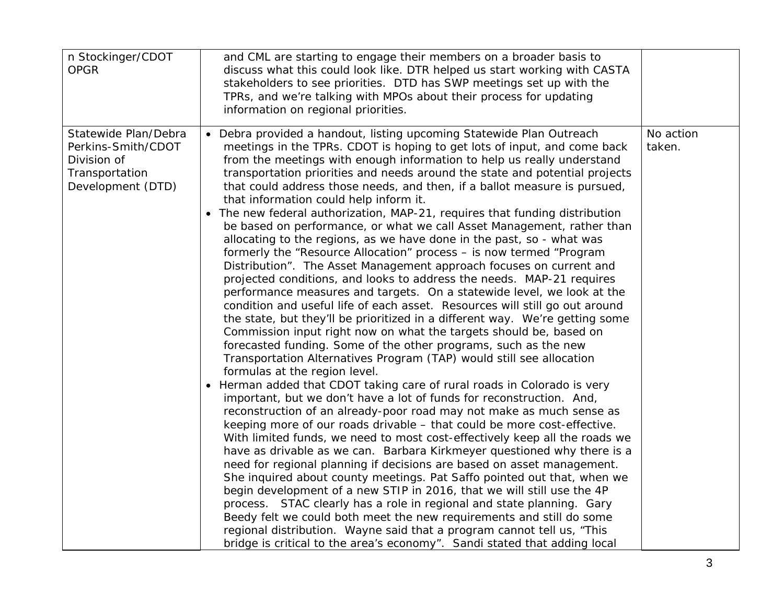| n Stockinger/CDOT<br><b>OPGR</b>                                                                 | and CML are starting to engage their members on a broader basis to<br>discuss what this could look like. DTR helped us start working with CASTA<br>stakeholders to see priorities. DTD has SWP meetings set up with the<br>TPRs, and we're talking with MPOs about their process for updating<br>information on regional priorities.                                                                                                                                                                                                                                                                                                                                                                                                                                                                                                                                                                                                                                                                                                                                                                                                                                                                                                                                                                                                                                                                                                                                                                                                                                                                                                                                                                                                                                                                                                                                                                                                                                                                                                                                                                                                                                                                                                                                                                                                                                                              |                     |
|--------------------------------------------------------------------------------------------------|---------------------------------------------------------------------------------------------------------------------------------------------------------------------------------------------------------------------------------------------------------------------------------------------------------------------------------------------------------------------------------------------------------------------------------------------------------------------------------------------------------------------------------------------------------------------------------------------------------------------------------------------------------------------------------------------------------------------------------------------------------------------------------------------------------------------------------------------------------------------------------------------------------------------------------------------------------------------------------------------------------------------------------------------------------------------------------------------------------------------------------------------------------------------------------------------------------------------------------------------------------------------------------------------------------------------------------------------------------------------------------------------------------------------------------------------------------------------------------------------------------------------------------------------------------------------------------------------------------------------------------------------------------------------------------------------------------------------------------------------------------------------------------------------------------------------------------------------------------------------------------------------------------------------------------------------------------------------------------------------------------------------------------------------------------------------------------------------------------------------------------------------------------------------------------------------------------------------------------------------------------------------------------------------------------------------------------------------------------------------------------------------------|---------------------|
| Statewide Plan/Debra<br>Perkins-Smith/CDOT<br>Division of<br>Transportation<br>Development (DTD) | Debra provided a handout, listing upcoming Statewide Plan Outreach<br>meetings in the TPRs. CDOT is hoping to get lots of input, and come back<br>from the meetings with enough information to help us really understand<br>transportation priorities and needs around the state and potential projects<br>that could address those needs, and then, if a ballot measure is pursued,<br>that information could help inform it.<br>The new federal authorization, MAP-21, requires that funding distribution<br>be based on performance, or what we call Asset Management, rather than<br>allocating to the regions, as we have done in the past, so - what was<br>formerly the "Resource Allocation" process - is now termed "Program<br>Distribution". The Asset Management approach focuses on current and<br>projected conditions, and looks to address the needs. MAP-21 requires<br>performance measures and targets. On a statewide level, we look at the<br>condition and useful life of each asset. Resources will still go out around<br>the state, but they'll be prioritized in a different way. We're getting some<br>Commission input right now on what the targets should be, based on<br>forecasted funding. Some of the other programs, such as the new<br>Transportation Alternatives Program (TAP) would still see allocation<br>formulas at the region level.<br>Herman added that CDOT taking care of rural roads in Colorado is very<br>$\bullet$<br>important, but we don't have a lot of funds for reconstruction. And,<br>reconstruction of an already-poor road may not make as much sense as<br>keeping more of our roads drivable - that could be more cost-effective.<br>With limited funds, we need to most cost-effectively keep all the roads we<br>have as drivable as we can. Barbara Kirkmeyer questioned why there is a<br>need for regional planning if decisions are based on asset management.<br>She inquired about county meetings. Pat Saffo pointed out that, when we<br>begin development of a new STIP in 2016, that we will still use the 4P<br>process. STAC clearly has a role in regional and state planning. Gary<br>Beedy felt we could both meet the new requirements and still do some<br>regional distribution. Wayne said that a program cannot tell us, "This<br>bridge is critical to the area's economy". Sandi stated that adding local | No action<br>taken. |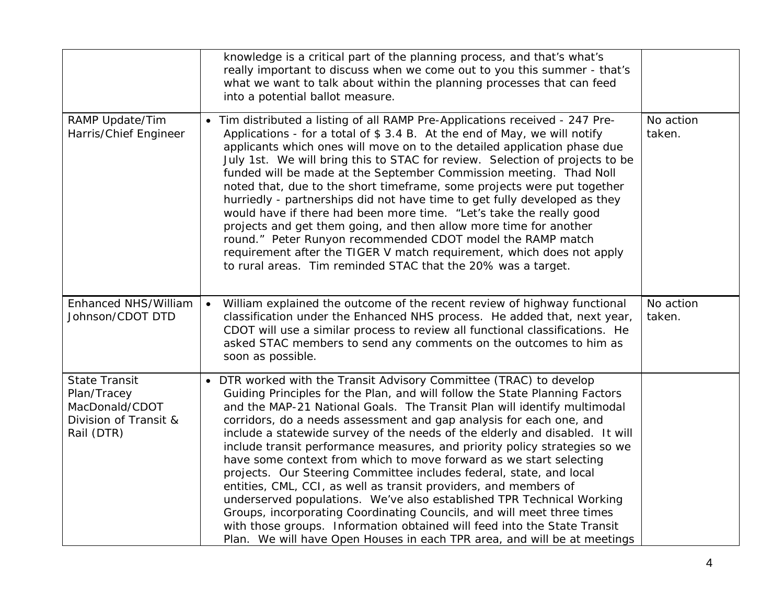|                                                                                              | knowledge is a critical part of the planning process, and that's what's<br>really important to discuss when we come out to you this summer - that's<br>what we want to talk about within the planning processes that can feed<br>into a potential ballot measure.                                                                                                                                                                                                                                                                                                                                                                                                                                                                                                                                                                                                                                                                                                                            |                     |
|----------------------------------------------------------------------------------------------|----------------------------------------------------------------------------------------------------------------------------------------------------------------------------------------------------------------------------------------------------------------------------------------------------------------------------------------------------------------------------------------------------------------------------------------------------------------------------------------------------------------------------------------------------------------------------------------------------------------------------------------------------------------------------------------------------------------------------------------------------------------------------------------------------------------------------------------------------------------------------------------------------------------------------------------------------------------------------------------------|---------------------|
| RAMP Update/Tim<br>Harris/Chief Engineer                                                     | Tim distributed a listing of all RAMP Pre-Applications received - 247 Pre-<br>Applications - for a total of \$3.4 B. At the end of May, we will notify<br>applicants which ones will move on to the detailed application phase due<br>July 1st. We will bring this to STAC for review. Selection of projects to be<br>funded will be made at the September Commission meeting. Thad Noll<br>noted that, due to the short timeframe, some projects were put together<br>hurriedly - partnerships did not have time to get fully developed as they<br>would have if there had been more time. "Let's take the really good<br>projects and get them going, and then allow more time for another<br>round." Peter Runyon recommended CDOT model the RAMP match<br>requirement after the TIGER V match requirement, which does not apply<br>to rural areas. Tim reminded STAC that the 20% was a target.                                                                                          | No action<br>taken. |
| Enhanced NHS/William<br>Johnson/CDOT DTD                                                     | William explained the outcome of the recent review of highway functional<br>$\bullet$<br>classification under the Enhanced NHS process. He added that, next year,<br>CDOT will use a similar process to review all functional classifications. He<br>asked STAC members to send any comments on the outcomes to him as<br>soon as possible.                                                                                                                                                                                                                                                                                                                                                                                                                                                                                                                                                                                                                                                  | No action<br>taken. |
| <b>State Transit</b><br>Plan/Tracey<br>MacDonald/CDOT<br>Division of Transit &<br>Rail (DTR) | DTR worked with the Transit Advisory Committee (TRAC) to develop<br>Guiding Principles for the Plan, and will follow the State Planning Factors<br>and the MAP-21 National Goals. The Transit Plan will identify multimodal<br>corridors, do a needs assessment and gap analysis for each one, and<br>include a statewide survey of the needs of the elderly and disabled. It will<br>include transit performance measures, and priority policy strategies so we<br>have some context from which to move forward as we start selecting<br>projects. Our Steering Committee includes federal, state, and local<br>entities, CML, CCI, as well as transit providers, and members of<br>underserved populations. We've also established TPR Technical Working<br>Groups, incorporating Coordinating Councils, and will meet three times<br>with those groups. Information obtained will feed into the State Transit<br>Plan. We will have Open Houses in each TPR area, and will be at meetings |                     |